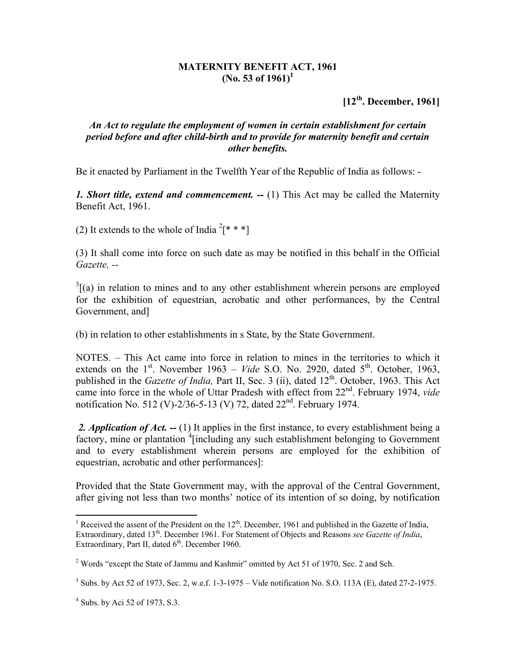#### **MATERNITY BENEFIT ACT, 1961 (No. 53 of 1961)<sup>1</sup>**

**[12th. December, 1961]** 

### *An Act to regulate the employment of women in certain establishment for certain period before and after child-birth and to provide for maternity benefit and certain other benefits.*

Be it enacted by Parliament in the Twelfth Year of the Republic of India as follows: -

*1. Short title, extend and commencement. --* (1) This Act may be called the Maternity Benefit Act, 1961.

(2) It extends to the whole of India  $2^x$ [\* \* \*]

(3) It shall come into force on such date as may be notified in this behalf in the Official *Gazette, --* 

 $3\,(a)$  in relation to mines and to any other establishment wherein persons are employed for the exhibition of equestrian, acrobatic and other performances, by the Central Government, and]

(b) in relation to other establishments in s State, by the State Government.

NOTES. – This Act came into force in relation to mines in the territories to which it extends on the  $1<sup>st</sup>$ . November 1963 – *Vide* S.O. No. 2920, dated  $5<sup>th</sup>$ . October, 1963, published in the *Gazette of India*, Part II, Sec. 3 (ii), dated 12<sup>th</sup>. October, 1963. This Act came into force in the whole of Uttar Pradesh with effect from 22<sup>nd</sup>. February 1974, *vide* notification No. 512 (V)-2/36-5-13 (V) 72, dated  $22<sup>nd</sup>$ . February 1974.

 *2. Application of Act. --* (1) It applies in the first instance, to every establishment being a factory, mine or plantation <sup>4</sup>[including any such establishment belonging to Government and to every establishment wherein persons are employed for the exhibition of equestrian, acrobatic and other performances]:

Provided that the State Government may, with the approval of the Central Government, after giving not less than two months' notice of its intention of so doing, by notification

 $\overline{a}$ <sup>1</sup> Received the assent of the President on the  $12<sup>th</sup>$ . December, 1961 and published in the Gazette of India, Extraordinary, dated 13<sup>th</sup>. December 1961. For Statement of Objects and Reasons *see Gazette of India*, Extraordinary, Part II, dated  $6<sup>th</sup>$ . December 1960.

<sup>&</sup>lt;sup>2</sup> Words "except the State of Jammu and Kashmir" omitted by Act 51 of 1970, Sec. 2 and Sch.

<sup>&</sup>lt;sup>3</sup> Subs. by Act 52 of 1973, Sec. 2, w.e.f. 1-3-1975 – Vide notification No. S.O. 113A (E), dated 27-2-1975.

<sup>4</sup> Subs. by Aci 52 of 1973, S.3.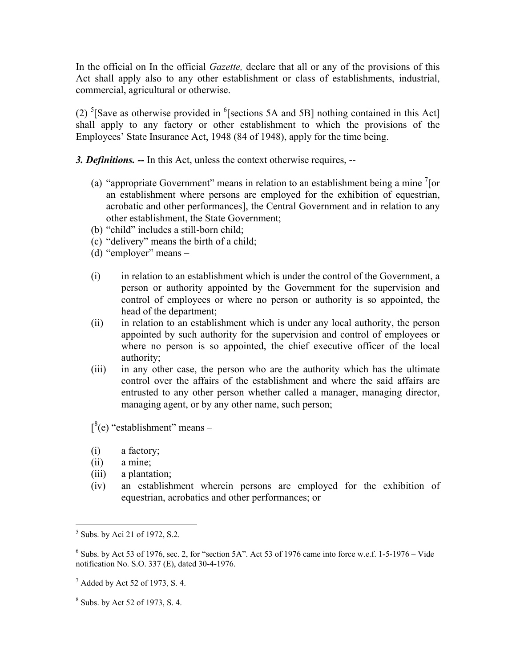In the official on In the official *Gazette,* declare that all or any of the provisions of this Act shall apply also to any other establishment or class of establishments, industrial, commercial, agricultural or otherwise.

(2)  ${}^{5}$ [Save as otherwise provided in  ${}^{6}$ [sections 5A and 5B] nothing contained in this Act] shall apply to any factory or other establishment to which the provisions of the Employees' State Insurance Act, 1948 (84 of 1948), apply for the time being.

- *3. Definitions. --* In this Act, unless the context otherwise requires, --
	- (a) "appropriate Government" means in relation to an establishment being a mine  $7$ [or an establishment where persons are employed for the exhibition of equestrian, acrobatic and other performances], the Central Government and in relation to any other establishment, the State Government;
	- (b) "child" includes a still-born child;
	- (c) "delivery" means the birth of a child;
	- (d) "employer" means –
	- (i) in relation to an establishment which is under the control of the Government, a person or authority appointed by the Government for the supervision and control of employees or where no person or authority is so appointed, the head of the department;
	- (ii) in relation to an establishment which is under any local authority, the person appointed by such authority for the supervision and control of employees or where no person is so appointed, the chief executive officer of the local authority;
	- (iii) in any other case, the person who are the authority which has the ultimate control over the affairs of the establishment and where the said affairs are entrusted to any other person whether called a manager, managing director, managing agent, or by any other name, such person;
	- $[{}^{8}(e)$  "establishment" means –
	- (i) a factory;
	- (ii) a mine;
	- (iii) a plantation;
	- (iv) an establishment wherein persons are employed for the exhibition of equestrian, acrobatics and other performances; or

 $<sup>5</sup>$  Subs. by Aci 21 of 1972, S.2.</sup>

 $6$  Subs. by Act 53 of 1976, sec. 2, for "section 5A". Act 53 of 1976 came into force w.e.f. 1-5-1976 – Vide notification No. S.O. 337 (E), dated 30-4-1976.

 $^7$  Added by Act 52 of 1973, S. 4.

<sup>8</sup> Subs. by Act 52 of 1973, S. 4.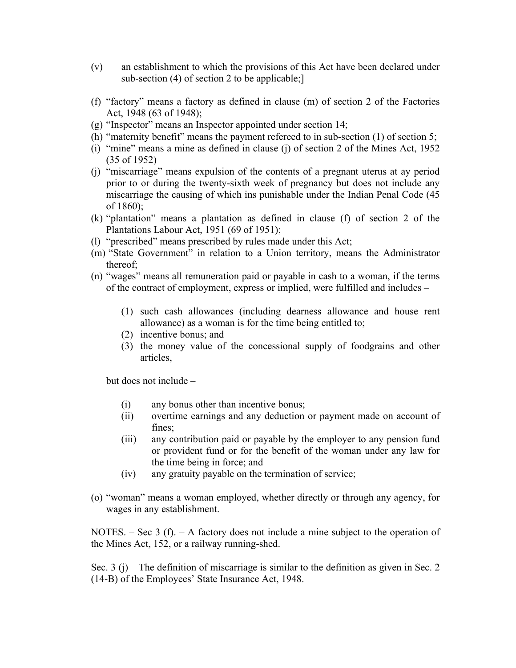- (v) an establishment to which the provisions of this Act have been declared under sub-section (4) of section 2 to be applicable;
- (f) "factory" means a factory as defined in clause (m) of section 2 of the Factories Act, 1948 (63 of 1948);
- (g) "Inspector" means an Inspector appointed under section 14;
- (h) "maternity benefit" means the payment refereed to in sub-section (1) of section 5;
- (i) "mine" means a mine as defined in clause (j) of section 2 of the Mines Act, 1952 (35 of 1952)
- (j) "miscarriage" means expulsion of the contents of a pregnant uterus at ay period prior to or during the twenty-sixth week of pregnancy but does not include any miscarriage the causing of which ins punishable under the Indian Penal Code (45 of 1860);
- (k) "plantation" means a plantation as defined in clause (f) of section 2 of the Plantations Labour Act, 1951 (69 of 1951);
- (l) "prescribed" means prescribed by rules made under this Act;
- (m) "State Government" in relation to a Union territory, means the Administrator thereof;
- (n) "wages" means all remuneration paid or payable in cash to a woman, if the terms of the contract of employment, express or implied, were fulfilled and includes –
	- (1) such cash allowances (including dearness allowance and house rent allowance) as a woman is for the time being entitled to;
	- (2) incentive bonus; and
	- (3) the money value of the concessional supply of foodgrains and other articles,

but does not include –

- (i) any bonus other than incentive bonus;
- (ii) overtime earnings and any deduction or payment made on account of fines;
- (iii) any contribution paid or payable by the employer to any pension fund or provident fund or for the benefit of the woman under any law for the time being in force; and
- (iv) any gratuity payable on the termination of service;
- (o) "woman" means a woman employed, whether directly or through any agency, for wages in any establishment.

NOTES. – Sec 3 (f). – A factory does not include a mine subject to the operation of the Mines Act, 152, or a railway running-shed.

Sec. 3 (j) – The definition of miscarriage is similar to the definition as given in Sec. 2 (14-B) of the Employees' State Insurance Act, 1948.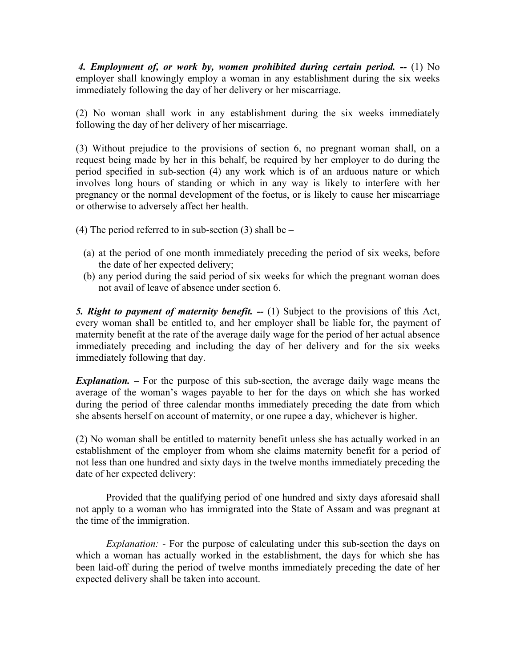*4. Employment of, or work by, women prohibited during certain period. --* (1) No employer shall knowingly employ a woman in any establishment during the six weeks immediately following the day of her delivery or her miscarriage.

(2) No woman shall work in any establishment during the six weeks immediately following the day of her delivery of her miscarriage.

(3) Without prejudice to the provisions of section 6, no pregnant woman shall, on a request being made by her in this behalf, be required by her employer to do during the period specified in sub-section (4) any work which is of an arduous nature or which involves long hours of standing or which in any way is likely to interfere with her pregnancy or the normal development of the foetus, or is likely to cause her miscarriage or otherwise to adversely affect her health.

(4) The period referred to in sub-section (3) shall be  $-$ 

- (a) at the period of one month immediately preceding the period of six weeks, before the date of her expected delivery;
- (b) any period during the said period of six weeks for which the pregnant woman does not avail of leave of absence under section 6.

*5. Right to payment of maternity benefit. --* (1) Subject to the provisions of this Act, every woman shall be entitled to, and her employer shall be liable for, the payment of maternity benefit at the rate of the average daily wage for the period of her actual absence immediately preceding and including the day of her delivery and for the six weeks immediately following that day.

*Explanation.* – For the purpose of this sub-section, the average daily wage means the average of the woman's wages payable to her for the days on which she has worked during the period of three calendar months immediately preceding the date from which she absents herself on account of maternity, or one rupee a day, whichever is higher.

(2) No woman shall be entitled to maternity benefit unless she has actually worked in an establishment of the employer from whom she claims maternity benefit for a period of not less than one hundred and sixty days in the twelve months immediately preceding the date of her expected delivery:

 Provided that the qualifying period of one hundred and sixty days aforesaid shall not apply to a woman who has immigrated into the State of Assam and was pregnant at the time of the immigration.

*Explanation:* - For the purpose of calculating under this sub-section the days on which a woman has actually worked in the establishment, the days for which she has been laid-off during the period of twelve months immediately preceding the date of her expected delivery shall be taken into account.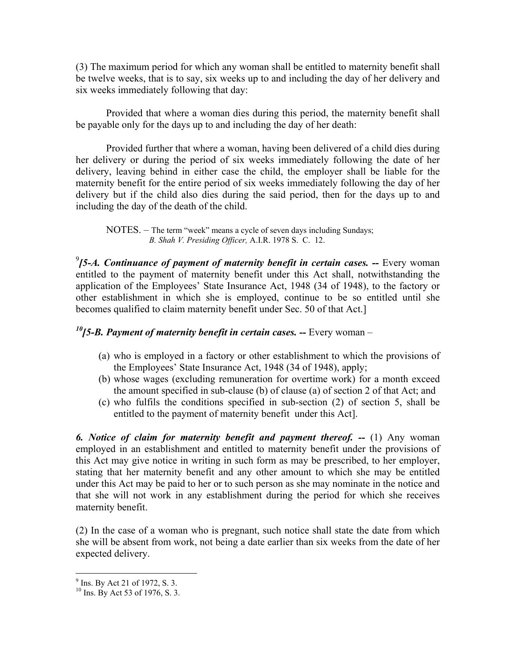(3) The maximum period for which any woman shall be entitled to maternity benefit shall be twelve weeks, that is to say, six weeks up to and including the day of her delivery and six weeks immediately following that day:

 Provided that where a woman dies during this period, the maternity benefit shall be payable only for the days up to and including the day of her death:

 Provided further that where a woman, having been delivered of a child dies during her delivery or during the period of six weeks immediately following the date of her delivery, leaving behind in either case the child, the employer shall be liable for the maternity benefit for the entire period of six weeks immediately following the day of her delivery but if the child also dies during the said period, then for the days up to and including the day of the death of the child.

 NOTES. – The term "week" means a cycle of seven days including Sundays; *B. Shah V. Presiding Officer,* A.I.R. 1978 S. C. 12.

<sup>9</sup>/5-A. Continuance of payment of maternity benefit in certain cases. -- Every woman entitled to the payment of maternity benefit under this Act shall, notwithstanding the application of the Employees' State Insurance Act, 1948 (34 of 1948), to the factory or other establishment in which she is employed, continue to be so entitled until she becomes qualified to claim maternity benefit under Sec. 50 of that Act.]

# $10/15$ -B. Payment of maternity benefit in certain cases. -- Every woman –

- (a) who is employed in a factory or other establishment to which the provisions of the Employees' State Insurance Act, 1948 (34 of 1948), apply;
- (b) whose wages (excluding remuneration for overtime work) for a month exceed the amount specified in sub-clause (b) of clause (a) of section 2 of that Act; and
- (c) who fulfils the conditions specified in sub-section (2) of section 5, shall be entitled to the payment of maternity benefit under this Act].

*6. Notice of claim for maternity benefit and payment thereof. --* (1) Any woman employed in an establishment and entitled to maternity benefit under the provisions of this Act may give notice in writing in such form as may be prescribed, to her employer, stating that her maternity benefit and any other amount to which she may be entitled under this Act may be paid to her or to such person as she may nominate in the notice and that she will not work in any establishment during the period for which she receives maternity benefit.

(2) In the case of a woman who is pregnant, such notice shall state the date from which she will be absent from work, not being a date earlier than six weeks from the date of her expected delivery.

 $\overline{a}$ 

<sup>&</sup>lt;sup>9</sup> Ins. By Act 21 of 1972, S. 3.

 $^{10}$  Ins. By Act 53 of 1976, S. 3.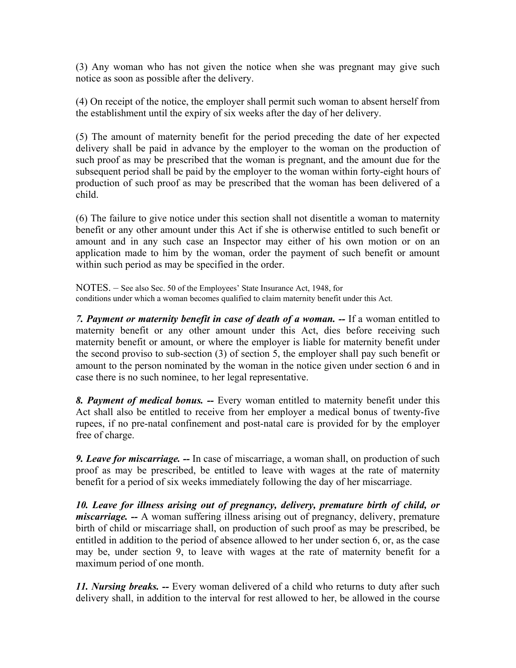(3) Any woman who has not given the notice when she was pregnant may give such notice as soon as possible after the delivery.

(4) On receipt of the notice, the employer shall permit such woman to absent herself from the establishment until the expiry of six weeks after the day of her delivery.

(5) The amount of maternity benefit for the period preceding the date of her expected delivery shall be paid in advance by the employer to the woman on the production of such proof as may be prescribed that the woman is pregnant, and the amount due for the subsequent period shall be paid by the employer to the woman within forty-eight hours of production of such proof as may be prescribed that the woman has been delivered of a child.

(6) The failure to give notice under this section shall not disentitle a woman to maternity benefit or any other amount under this Act if she is otherwise entitled to such benefit or amount and in any such case an Inspector may either of his own motion or on an application made to him by the woman, order the payment of such benefit or amount within such period as may be specified in the order.

NOTES. – See also Sec. 50 of the Employees' State Insurance Act, 1948, for conditions under which a woman becomes qualified to claim maternity benefit under this Act.

*7. Payment or maternity benefit in case of death of a woman. --* If a woman entitled to maternity benefit or any other amount under this Act, dies before receiving such maternity benefit or amount, or where the employer is liable for maternity benefit under the second proviso to sub-section (3) of section 5, the employer shall pay such benefit or amount to the person nominated by the woman in the notice given under section 6 and in case there is no such nominee, to her legal representative.

*8. Payment of medical bonus. --* Every woman entitled to maternity benefit under this Act shall also be entitled to receive from her employer a medical bonus of twenty-five rupees, if no pre-natal confinement and post-natal care is provided for by the employer free of charge.

*9. Leave for miscarriage. --* In case of miscarriage, a woman shall, on production of such proof as may be prescribed, be entitled to leave with wages at the rate of maternity benefit for a period of six weeks immediately following the day of her miscarriage.

*10. Leave for illness arising out of pregnancy, delivery, premature birth of child, or miscarriage. --* A woman suffering illness arising out of pregnancy, delivery, premature birth of child or miscarriage shall, on production of such proof as may be prescribed, be entitled in addition to the period of absence allowed to her under section 6, or, as the case may be, under section 9, to leave with wages at the rate of maternity benefit for a maximum period of one month.

*11. Nursing breaks. --* Every woman delivered of a child who returns to duty after such delivery shall, in addition to the interval for rest allowed to her, be allowed in the course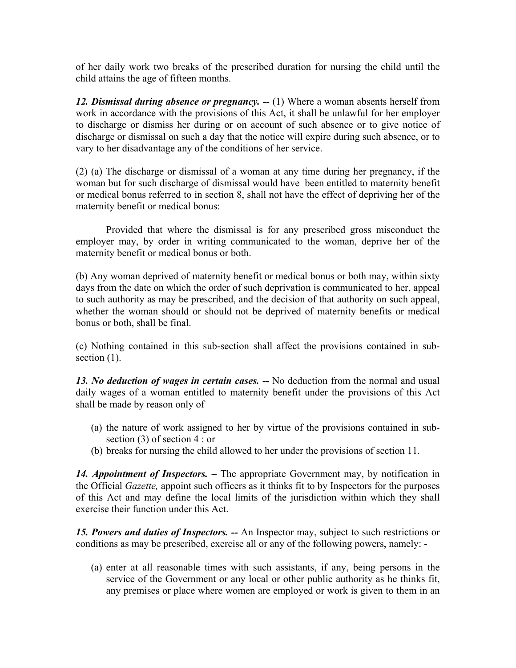of her daily work two breaks of the prescribed duration for nursing the child until the child attains the age of fifteen months.

*12. Dismissal during absence or pregnancy. --* (1) Where a woman absents herself from work in accordance with the provisions of this Act, it shall be unlawful for her employer to discharge or dismiss her during or on account of such absence or to give notice of discharge or dismissal on such a day that the notice will expire during such absence, or to vary to her disadvantage any of the conditions of her service.

(2) (a) The discharge or dismissal of a woman at any time during her pregnancy, if the woman but for such discharge of dismissal would have been entitled to maternity benefit or medical bonus referred to in section 8, shall not have the effect of depriving her of the maternity benefit or medical bonus:

 Provided that where the dismissal is for any prescribed gross misconduct the employer may, by order in writing communicated to the woman, deprive her of the maternity benefit or medical bonus or both.

(b) Any woman deprived of maternity benefit or medical bonus or both may, within sixty days from the date on which the order of such deprivation is communicated to her, appeal to such authority as may be prescribed, and the decision of that authority on such appeal, whether the woman should or should not be deprived of maternity benefits or medical bonus or both, shall be final.

(c) Nothing contained in this sub-section shall affect the provisions contained in subsection  $(1)$ .

*13. No deduction of wages in certain cases. --* No deduction from the normal and usual daily wages of a woman entitled to maternity benefit under the provisions of this Act shall be made by reason only of –

- (a) the nature of work assigned to her by virtue of the provisions contained in subsection (3) of section 4 : or
- (b) breaks for nursing the child allowed to her under the provisions of section 11.

*14. Appointment of Inspectors. –* The appropriate Government may, by notification in the Official *Gazette,* appoint such officers as it thinks fit to by Inspectors for the purposes of this Act and may define the local limits of the jurisdiction within which they shall exercise their function under this Act.

*15. Powers and duties of Inspectors. --* An Inspector may, subject to such restrictions or conditions as may be prescribed, exercise all or any of the following powers, namely: -

(a) enter at all reasonable times with such assistants, if any, being persons in the service of the Government or any local or other public authority as he thinks fit, any premises or place where women are employed or work is given to them in an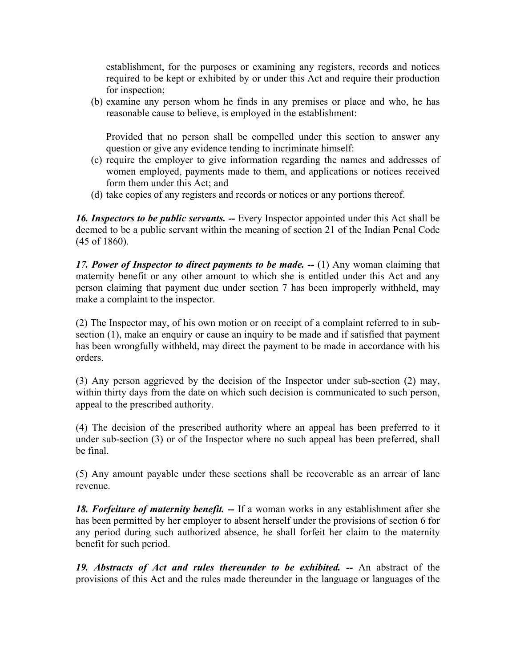establishment, for the purposes or examining any registers, records and notices required to be kept or exhibited by or under this Act and require their production for inspection;

(b) examine any person whom he finds in any premises or place and who, he has reasonable cause to believe, is employed in the establishment:

Provided that no person shall be compelled under this section to answer any question or give any evidence tending to incriminate himself:

- (c) require the employer to give information regarding the names and addresses of women employed, payments made to them, and applications or notices received form them under this Act; and
- (d) take copies of any registers and records or notices or any portions thereof.

*16. Inspectors to be public servants. --* Every Inspector appointed under this Act shall be deemed to be a public servant within the meaning of section 21 of the Indian Penal Code (45 of 1860).

17. Power of Inspector to direct payments to be made. -- (1) Any woman claiming that maternity benefit or any other amount to which she is entitled under this Act and any person claiming that payment due under section 7 has been improperly withheld, may make a complaint to the inspector.

(2) The Inspector may, of his own motion or on receipt of a complaint referred to in subsection (1), make an enquiry or cause an inquiry to be made and if satisfied that payment has been wrongfully withheld, may direct the payment to be made in accordance with his orders.

(3) Any person aggrieved by the decision of the Inspector under sub-section (2) may, within thirty days from the date on which such decision is communicated to such person, appeal to the prescribed authority.

(4) The decision of the prescribed authority where an appeal has been preferred to it under sub-section (3) or of the Inspector where no such appeal has been preferred, shall be final.

(5) Any amount payable under these sections shall be recoverable as an arrear of lane revenue.

*18. Forfeiture of maternity benefit. --* If a woman works in any establishment after she has been permitted by her employer to absent herself under the provisions of section 6 for any period during such authorized absence, he shall forfeit her claim to the maternity benefit for such period.

*19. Abstracts of Act and rules thereunder to be exhibited. --* An abstract of the provisions of this Act and the rules made thereunder in the language or languages of the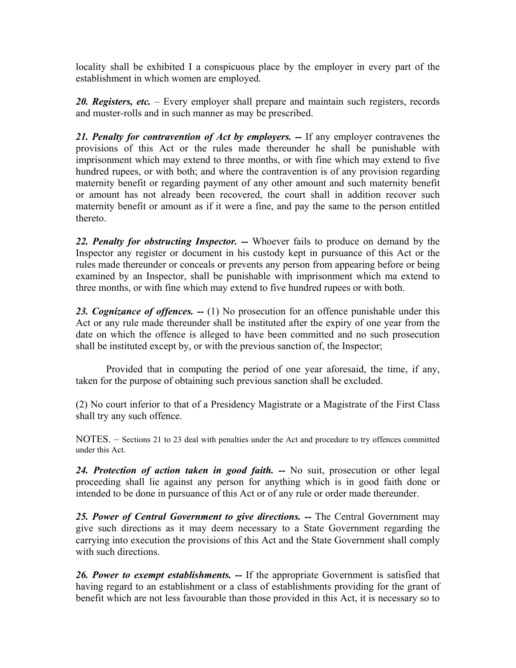locality shall be exhibited I a conspicuous place by the employer in every part of the establishment in which women are employed.

*20. Registers, etc.* – Every employer shall prepare and maintain such registers, records and muster-rolls and in such manner as may be prescribed.

*21. Penalty for contravention of Act by employers. --* If any employer contravenes the provisions of this Act or the rules made thereunder he shall be punishable with imprisonment which may extend to three months, or with fine which may extend to five hundred rupees, or with both; and where the contravention is of any provision regarding maternity benefit or regarding payment of any other amount and such maternity benefit or amount has not already been recovered, the court shall in addition recover such maternity benefit or amount as if it were a fine, and pay the same to the person entitled thereto.

*22. Penalty for obstructing Inspector. --* Whoever fails to produce on demand by the Inspector any register or document in his custody kept in pursuance of this Act or the rules made thereunder or conceals or prevents any person from appearing before or being examined by an Inspector, shall be punishable with imprisonment which ma extend to three months, or with fine which may extend to five hundred rupees or with both.

23. *Cognizance of offences.* -- (1) No prosecution for an offence punishable under this Act or any rule made thereunder shall be instituted after the expiry of one year from the date on which the offence is alleged to have been committed and no such prosecution shall be instituted except by, or with the previous sanction of, the Inspector;

 Provided that in computing the period of one year aforesaid, the time, if any, taken for the purpose of obtaining such previous sanction shall be excluded.

(2) No court inferior to that of a Presidency Magistrate or a Magistrate of the First Class shall try any such offence.

NOTES. – Sections 21 to 23 deal with penalties under the Act and procedure to try offences committed under this Act.

*24. Protection of action taken in good faith. --* No suit, prosecution or other legal proceeding shall lie against any person for anything which is in good faith done or intended to be done in pursuance of this Act or of any rule or order made thereunder.

25. Power of Central Government to give directions. -- The Central Government may give such directions as it may deem necessary to a State Government regarding the carrying into execution the provisions of this Act and the State Government shall comply with such directions.

*26. Power to exempt establishments. --* If the appropriate Government is satisfied that having regard to an establishment or a class of establishments providing for the grant of benefit which are not less favourable than those provided in this Act, it is necessary so to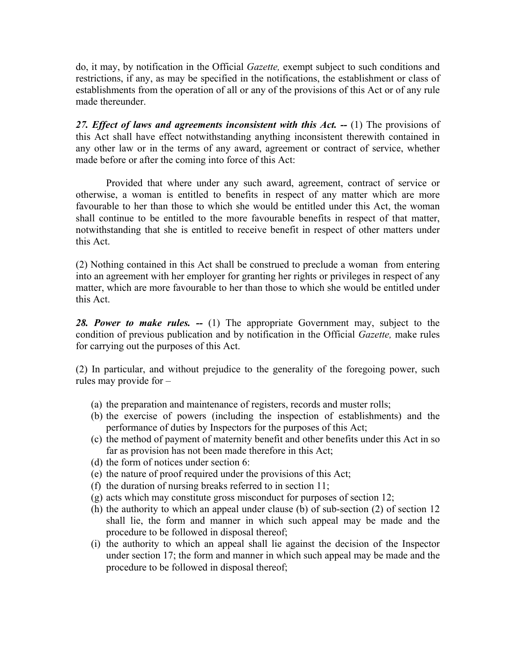do, it may, by notification in the Official *Gazette,* exempt subject to such conditions and restrictions, if any, as may be specified in the notifications, the establishment or class of establishments from the operation of all or any of the provisions of this Act or of any rule made thereunder.

27. *Effect of laws and agreements inconsistent with this Act.* -- (1) The provisions of this Act shall have effect notwithstanding anything inconsistent therewith contained in any other law or in the terms of any award, agreement or contract of service, whether made before or after the coming into force of this Act:

 Provided that where under any such award, agreement, contract of service or otherwise, a woman is entitled to benefits in respect of any matter which are more favourable to her than those to which she would be entitled under this Act, the woman shall continue to be entitled to the more favourable benefits in respect of that matter, notwithstanding that she is entitled to receive benefit in respect of other matters under this Act.

(2) Nothing contained in this Act shall be construed to preclude a woman from entering into an agreement with her employer for granting her rights or privileges in respect of any matter, which are more favourable to her than those to which she would be entitled under this Act.

*28. Power to make rules. --* (1) The appropriate Government may, subject to the condition of previous publication and by notification in the Official *Gazette,* make rules for carrying out the purposes of this Act.

(2) In particular, and without prejudice to the generality of the foregoing power, such rules may provide for –

- (a) the preparation and maintenance of registers, records and muster rolls;
- (b) the exercise of powers (including the inspection of establishments) and the performance of duties by Inspectors for the purposes of this Act;
- (c) the method of payment of maternity benefit and other benefits under this Act in so far as provision has not been made therefore in this Act;
- (d) the form of notices under section 6:
- (e) the nature of proof required under the provisions of this Act;
- (f) the duration of nursing breaks referred to in section 11;
- (g) acts which may constitute gross misconduct for purposes of section 12;
- (h) the authority to which an appeal under clause (b) of sub-section (2) of section 12 shall lie, the form and manner in which such appeal may be made and the procedure to be followed in disposal thereof;
- (i) the authority to which an appeal shall lie against the decision of the Inspector under section 17; the form and manner in which such appeal may be made and the procedure to be followed in disposal thereof;